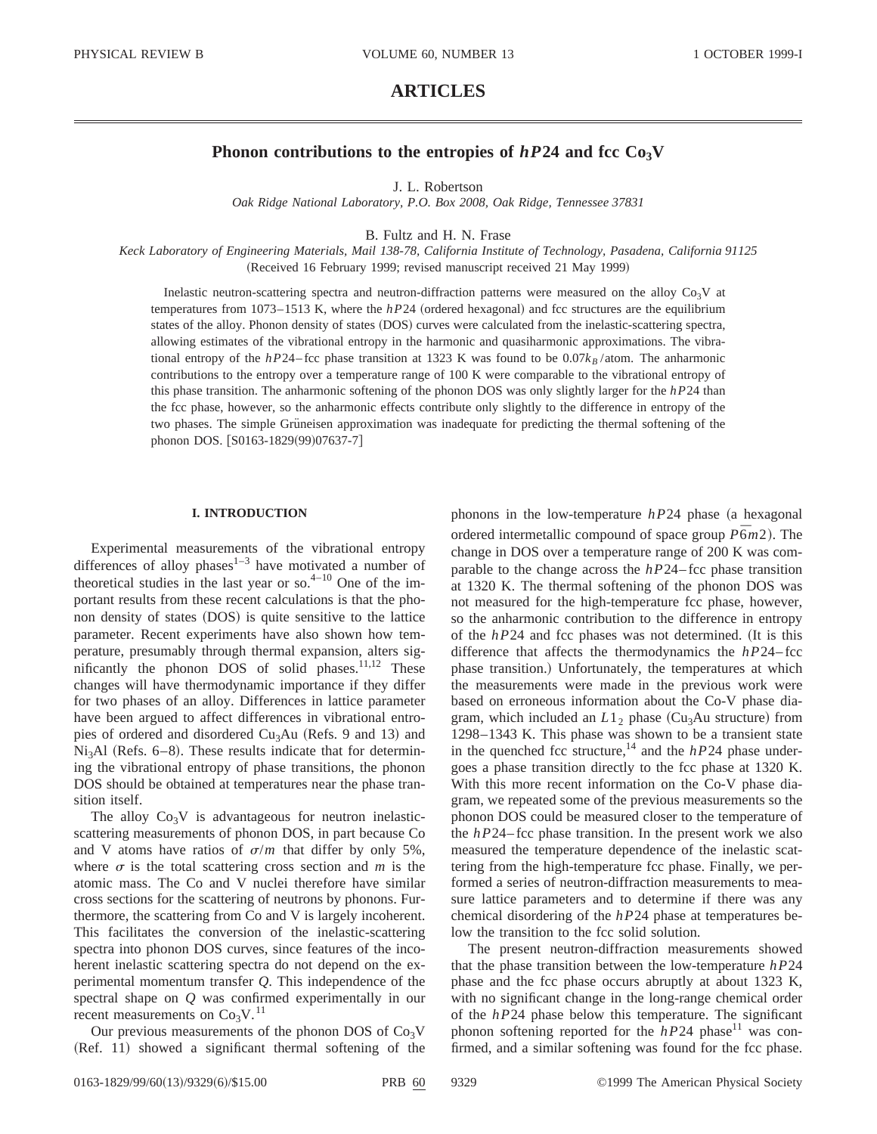# **ARTICLES**

## **Phonon contributions to the entropies of**  $hP24$  **and fcc**  $Co<sub>3</sub>V$

J. L. Robertson

*Oak Ridge National Laboratory, P.O. Box 2008, Oak Ridge, Tennessee 37831*

B. Fultz and H. N. Frase

*Keck Laboratory of Engineering Materials, Mail 138-78, California Institute of Technology, Pasadena, California 91125* (Received 16 February 1999; revised manuscript received 21 May 1999)

Inelastic neutron-scattering spectra and neutron-diffraction patterns were measured on the alloy  $Co_3V$  at temperatures from 1073–1513 K, where the  $hP24$  (ordered hexagonal) and fcc structures are the equilibrium states of the alloy. Phonon density of states (DOS) curves were calculated from the inelastic-scattering spectra, allowing estimates of the vibrational entropy in the harmonic and quasiharmonic approximations. The vibrational entropy of the *hP*24–fcc phase transition at 1323 K was found to be  $0.07k_B/\text{atom}$ . The anharmonic contributions to the entropy over a temperature range of 100 K were comparable to the vibrational entropy of this phase transition. The anharmonic softening of the phonon DOS was only slightly larger for the *hP*24 than the fcc phase, however, so the anharmonic effects contribute only slightly to the difference in entropy of the two phases. The simple Grüneisen approximation was inadequate for predicting the thermal softening of the phonon DOS. [S0163-1829(99)07637-7]

#### **I. INTRODUCTION**

Experimental measurements of the vibrational entropy differences of alloy phases<sup>1-3</sup> have motivated a number of theoretical studies in the last year or so. $4-10$  One of the important results from these recent calculations is that the phonon density of states (DOS) is quite sensitive to the lattice parameter. Recent experiments have also shown how temperature, presumably through thermal expansion, alters significantly the phonon DOS of solid phases.<sup>11,12</sup> These changes will have thermodynamic importance if they differ for two phases of an alloy. Differences in lattice parameter have been argued to affect differences in vibrational entropies of ordered and disordered  $Cu<sub>3</sub>Au$  (Refs. 9 and 13) and  $Ni<sub>3</sub>Al$  (Refs. 6–8). These results indicate that for determining the vibrational entropy of phase transitions, the phonon DOS should be obtained at temperatures near the phase transition itself.

The alloy  $Co<sub>3</sub>V$  is advantageous for neutron inelasticscattering measurements of phonon DOS, in part because Co and V atoms have ratios of  $\sigma/m$  that differ by only 5%, where  $\sigma$  is the total scattering cross section and *m* is the atomic mass. The Co and V nuclei therefore have similar cross sections for the scattering of neutrons by phonons. Furthermore, the scattering from Co and V is largely incoherent. This facilitates the conversion of the inelastic-scattering spectra into phonon DOS curves, since features of the incoherent inelastic scattering spectra do not depend on the experimental momentum transfer *Q*. This independence of the spectral shape on *Q* was confirmed experimentally in our recent measurements on  $Co<sub>3</sub>V.<sup>11</sup>$ 

Our previous measurements of the phonon DOS of  $Co<sub>3</sub>V$  $(Ref. 11)$  showed a significant thermal softening of the phonons in the low-temperature  $hP24$  phase (a hexagonal ordered intermetallic compound of space group  $P\bar{6}m2$ ). The change in DOS over a temperature range of 200 K was comparable to the change across the *hP*24– fcc phase transition at 1320 K. The thermal softening of the phonon DOS was not measured for the high-temperature fcc phase, however, so the anharmonic contribution to the difference in entropy of the *hP*24 and fcc phases was not determined. (It is this difference that affects the thermodynamics the *hP*24– fcc phase transition.) Unfortunately, the temperatures at which the measurements were made in the previous work were based on erroneous information about the Co-V phase diagram, which included an  $L1_2$  phase (Cu<sub>3</sub>Au structure) from 1298–1343 K. This phase was shown to be a transient state in the quenched fcc structure,<sup>14</sup> and the  $hP24$  phase undergoes a phase transition directly to the fcc phase at 1320 K. With this more recent information on the Co-V phase diagram, we repeated some of the previous measurements so the phonon DOS could be measured closer to the temperature of the *hP*24– fcc phase transition. In the present work we also measured the temperature dependence of the inelastic scattering from the high-temperature fcc phase. Finally, we performed a series of neutron-diffraction measurements to measure lattice parameters and to determine if there was any chemical disordering of the *hP*24 phase at temperatures below the transition to the fcc solid solution.

The present neutron-diffraction measurements showed that the phase transition between the low-temperature *hP*24 phase and the fcc phase occurs abruptly at about 1323 K, with no significant change in the long-range chemical order of the *hP*24 phase below this temperature. The significant phonon softening reported for the  $hP24$  phase<sup>11</sup> was confirmed, and a similar softening was found for the fcc phase.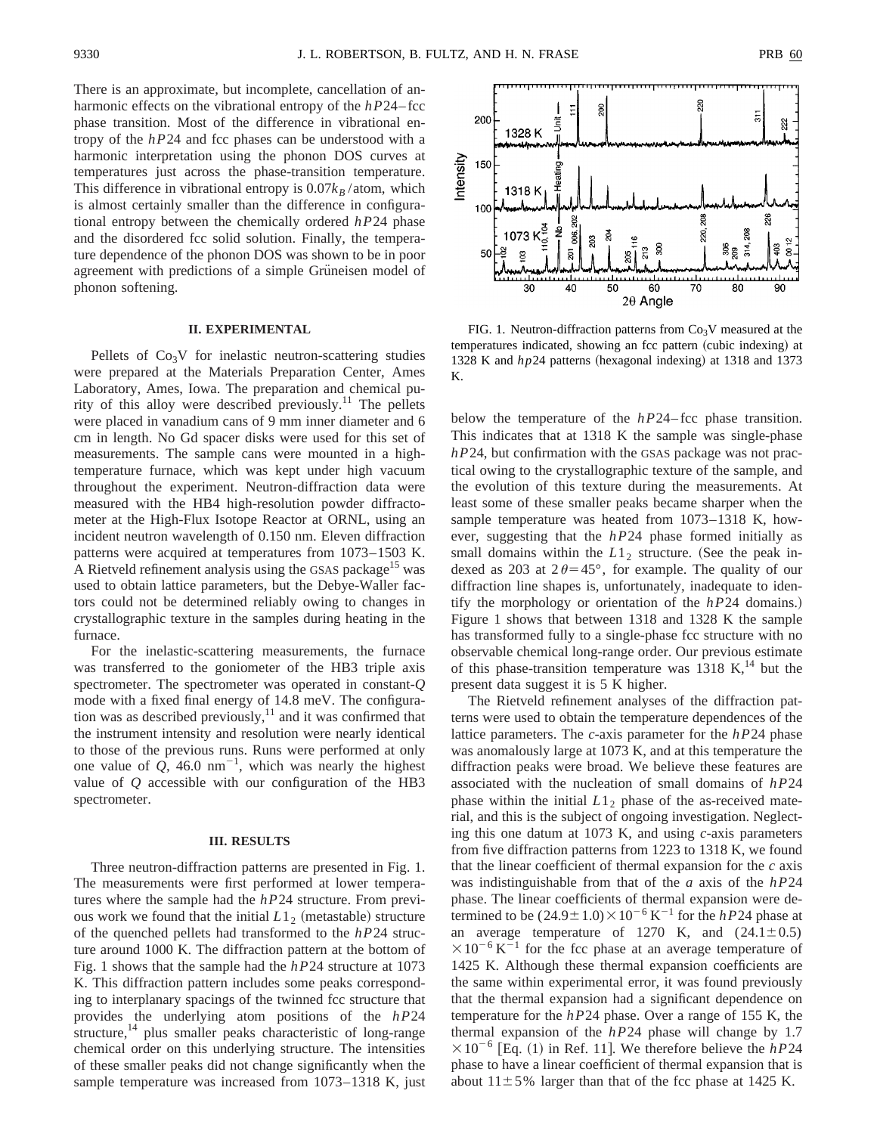There is an approximate, but incomplete, cancellation of anharmonic effects on the vibrational entropy of the *hP*24–fcc phase transition. Most of the difference in vibrational entropy of the *hP*24 and fcc phases can be understood with a harmonic interpretation using the phonon DOS curves at temperatures just across the phase-transition temperature. This difference in vibrational entropy is  $0.07k_B/\text{atom}$ , which is almost certainly smaller than the difference in configurational entropy between the chemically ordered *hP*24 phase and the disordered fcc solid solution. Finally, the temperature dependence of the phonon DOS was shown to be in poor agreement with predictions of a simple Grüneisen model of phonon softening.

## **II. EXPERIMENTAL**

Pellets of  $Co<sub>3</sub>V$  for inelastic neutron-scattering studies were prepared at the Materials Preparation Center, Ames Laboratory, Ames, Iowa. The preparation and chemical purity of this alloy were described previously.<sup>11</sup> The pellets were placed in vanadium cans of 9 mm inner diameter and 6 cm in length. No Gd spacer disks were used for this set of measurements. The sample cans were mounted in a hightemperature furnace, which was kept under high vacuum throughout the experiment. Neutron-diffraction data were measured with the HB4 high-resolution powder diffractometer at the High-Flux Isotope Reactor at ORNL, using an incident neutron wavelength of 0.150 nm. Eleven diffraction patterns were acquired at temperatures from 1073–1503 K. A Rietveld refinement analysis using the GSAS package<sup>15</sup> was used to obtain lattice parameters, but the Debye-Waller factors could not be determined reliably owing to changes in crystallographic texture in the samples during heating in the furnace.

For the inelastic-scattering measurements, the furnace was transferred to the goniometer of the HB3 triple axis spectrometer. The spectrometer was operated in constant-*Q* mode with a fixed final energy of 14.8 meV. The configuration was as described previously, $^{11}$  and it was confirmed that the instrument intensity and resolution were nearly identical to those of the previous runs. Runs were performed at only one value of  $Q$ , 46.0 nm<sup>-1</sup>, which was nearly the highest value of *Q* accessible with our configuration of the HB3 spectrometer.

#### **III. RESULTS**

Three neutron-diffraction patterns are presented in Fig. 1. The measurements were first performed at lower temperatures where the sample had the *hP*24 structure. From previous work we found that the initial  $L1<sub>2</sub>$  (metastable) structure of the quenched pellets had transformed to the *hP*24 structure around 1000 K. The diffraction pattern at the bottom of Fig. 1 shows that the sample had the *hP*24 structure at 1073 K. This diffraction pattern includes some peaks corresponding to interplanary spacings of the twinned fcc structure that provides the underlying atom positions of the *hP*24 structure,<sup>14</sup> plus smaller peaks characteristic of long-range chemical order on this underlying structure. The intensities of these smaller peaks did not change significantly when the sample temperature was increased from 1073–1318 K, just



FIG. 1. Neutron-diffraction patterns from  $Co<sub>3</sub>V$  measured at the temperatures indicated, showing an fcc pattern (cubic indexing) at 1328 K and  $hp24$  patterns (hexagonal indexing) at 1318 and 1373 K.

below the temperature of the *hP*24– fcc phase transition. This indicates that at 1318 K the sample was single-phase *hP*24, but confirmation with the GSAS package was not practical owing to the crystallographic texture of the sample, and the evolution of this texture during the measurements. At least some of these smaller peaks became sharper when the sample temperature was heated from 1073–1318 K, however, suggesting that the *hP*24 phase formed initially as small domains within the  $L1<sub>2</sub>$  structure. (See the peak indexed as 203 at  $2\theta = 45^{\circ}$ , for example. The quality of our diffraction line shapes is, unfortunately, inadequate to identify the morphology or orientation of the  $hP24$  domains.) Figure 1 shows that between 1318 and 1328 K the sample has transformed fully to a single-phase fcc structure with no observable chemical long-range order. Our previous estimate of this phase-transition temperature was  $1318$  K,<sup>14</sup> but the present data suggest it is 5 K higher.

The Rietveld refinement analyses of the diffraction patterns were used to obtain the temperature dependences of the lattice parameters. The *c*-axis parameter for the *hP*24 phase was anomalously large at 1073 K, and at this temperature the diffraction peaks were broad. We believe these features are associated with the nucleation of small domains of *hP*24 phase within the initial  $L1<sub>2</sub>$  phase of the as-received material, and this is the subject of ongoing investigation. Neglecting this one datum at 1073 K, and using *c*-axis parameters from five diffraction patterns from 1223 to 1318 K, we found that the linear coefficient of thermal expansion for the *c* axis was indistinguishable from that of the *a* axis of the *hP*24 phase. The linear coefficients of thermal expansion were determined to be  $(24.9 \pm 1.0) \times 10^{-6}$  K<sup>-1</sup> for the *hP*24 phase at an average temperature of 1270 K, and  $(24.1 \pm 0.5)$  $\times 10^{-6}$  K<sup>-1</sup> for the fcc phase at an average temperature of 1425 K. Although these thermal expansion coefficients are the same within experimental error, it was found previously that the thermal expansion had a significant dependence on temperature for the *hP*24 phase. Over a range of 155 K, the thermal expansion of the *hP*24 phase will change by 1.7  $\times 10^{-6}$  [Eq. (1) in Ref. 11]. We therefore believe the *hP*24 phase to have a linear coefficient of thermal expansion that is about  $11\pm5\%$  larger than that of the fcc phase at 1425 K.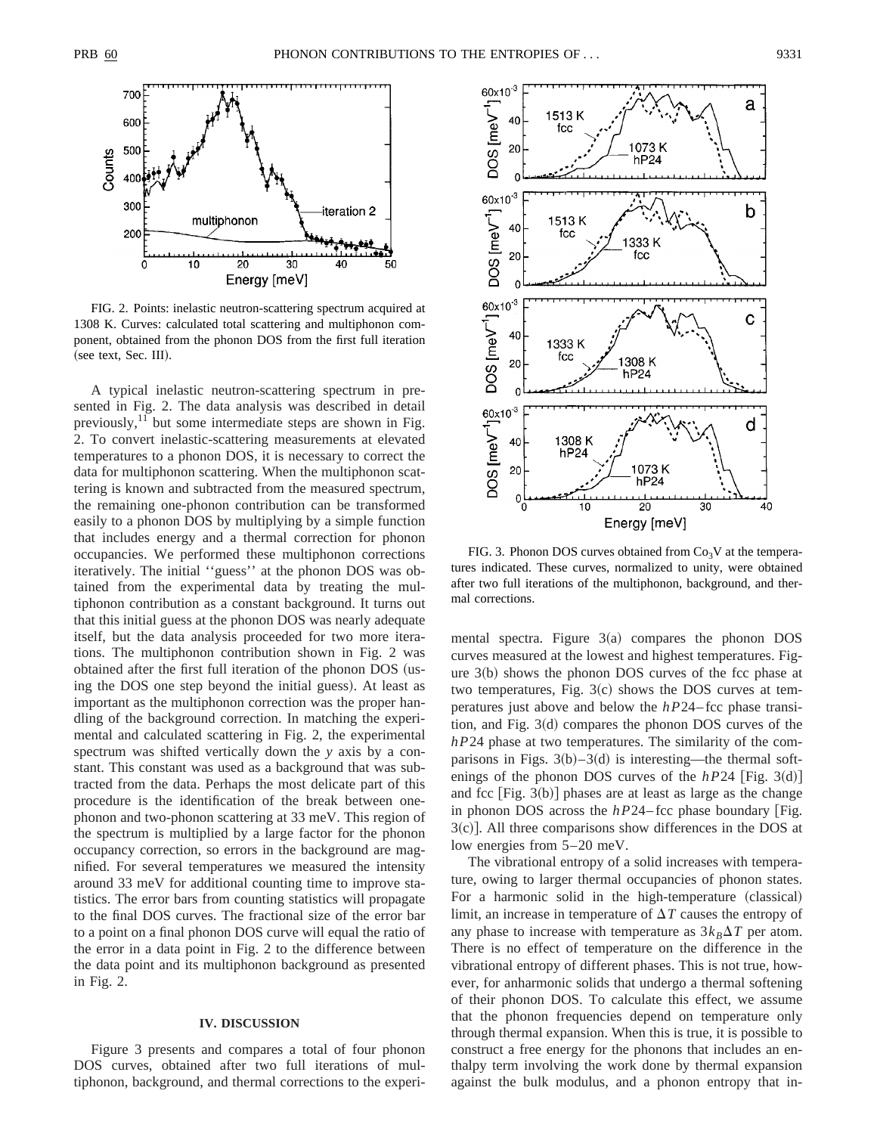

FIG. 2. Points: inelastic neutron-scattering spectrum acquired at 1308 K. Curves: calculated total scattering and multiphonon component, obtained from the phonon DOS from the first full iteration (see text, Sec. III).

A typical inelastic neutron-scattering spectrum in presented in Fig. 2. The data analysis was described in detail previously, $^{11}$  but some intermediate steps are shown in Fig. 2. To convert inelastic-scattering measurements at elevated temperatures to a phonon DOS, it is necessary to correct the data for multiphonon scattering. When the multiphonon scattering is known and subtracted from the measured spectrum, the remaining one-phonon contribution can be transformed easily to a phonon DOS by multiplying by a simple function that includes energy and a thermal correction for phonon occupancies. We performed these multiphonon corrections iteratively. The initial ''guess'' at the phonon DOS was obtained from the experimental data by treating the multiphonon contribution as a constant background. It turns out that this initial guess at the phonon DOS was nearly adequate itself, but the data analysis proceeded for two more iterations. The multiphonon contribution shown in Fig. 2 was obtained after the first full iteration of the phonon DOS (using the DOS one step beyond the initial guess). At least as important as the multiphonon correction was the proper handling of the background correction. In matching the experimental and calculated scattering in Fig. 2, the experimental spectrum was shifted vertically down the *y* axis by a constant. This constant was used as a background that was subtracted from the data. Perhaps the most delicate part of this procedure is the identification of the break between onephonon and two-phonon scattering at 33 meV. This region of the spectrum is multiplied by a large factor for the phonon occupancy correction, so errors in the background are magnified. For several temperatures we measured the intensity around 33 meV for additional counting time to improve statistics. The error bars from counting statistics will propagate to the final DOS curves. The fractional size of the error bar to a point on a final phonon DOS curve will equal the ratio of the error in a data point in Fig. 2 to the difference between the data point and its multiphonon background as presented in Fig. 2.

### **IV. DISCUSSION**

Figure 3 presents and compares a total of four phonon DOS curves, obtained after two full iterations of multiphonon, background, and thermal corrections to the experi-



FIG. 3. Phonon DOS curves obtained from  $Co<sub>3</sub>V$  at the temperatures indicated. These curves, normalized to unity, were obtained after two full iterations of the multiphonon, background, and thermal corrections.

mental spectra. Figure  $3(a)$  compares the phonon DOS curves measured at the lowest and highest temperatures. Figure  $3(b)$  shows the phonon DOS curves of the fcc phase at two temperatures, Fig.  $3(c)$  shows the DOS curves at temperatures just above and below the *hP*24– fcc phase transition, and Fig.  $3(d)$  compares the phonon DOS curves of the *hP*24 phase at two temperatures. The similarity of the comparisons in Figs.  $3(b) - 3(d)$  is interesting—the thermal softenings of the phonon DOS curves of the  $hP24$  [Fig. 3(d)] and fcc  $[Fig. 3(b)]$  phases are at least as large as the change in phonon DOS across the  $hP24$ – fcc phase boundary [Fig.  $3(c)$ ]. All three comparisons show differences in the DOS at low energies from 5–20 meV.

The vibrational entropy of a solid increases with temperature, owing to larger thermal occupancies of phonon states. For a harmonic solid in the high-temperature (classical) limit, an increase in temperature of  $\Delta T$  causes the entropy of any phase to increase with temperature as  $3k<sub>B</sub>\Delta T$  per atom. There is no effect of temperature on the difference in the vibrational entropy of different phases. This is not true, however, for anharmonic solids that undergo a thermal softening of their phonon DOS. To calculate this effect, we assume that the phonon frequencies depend on temperature only through thermal expansion. When this is true, it is possible to construct a free energy for the phonons that includes an enthalpy term involving the work done by thermal expansion against the bulk modulus, and a phonon entropy that in-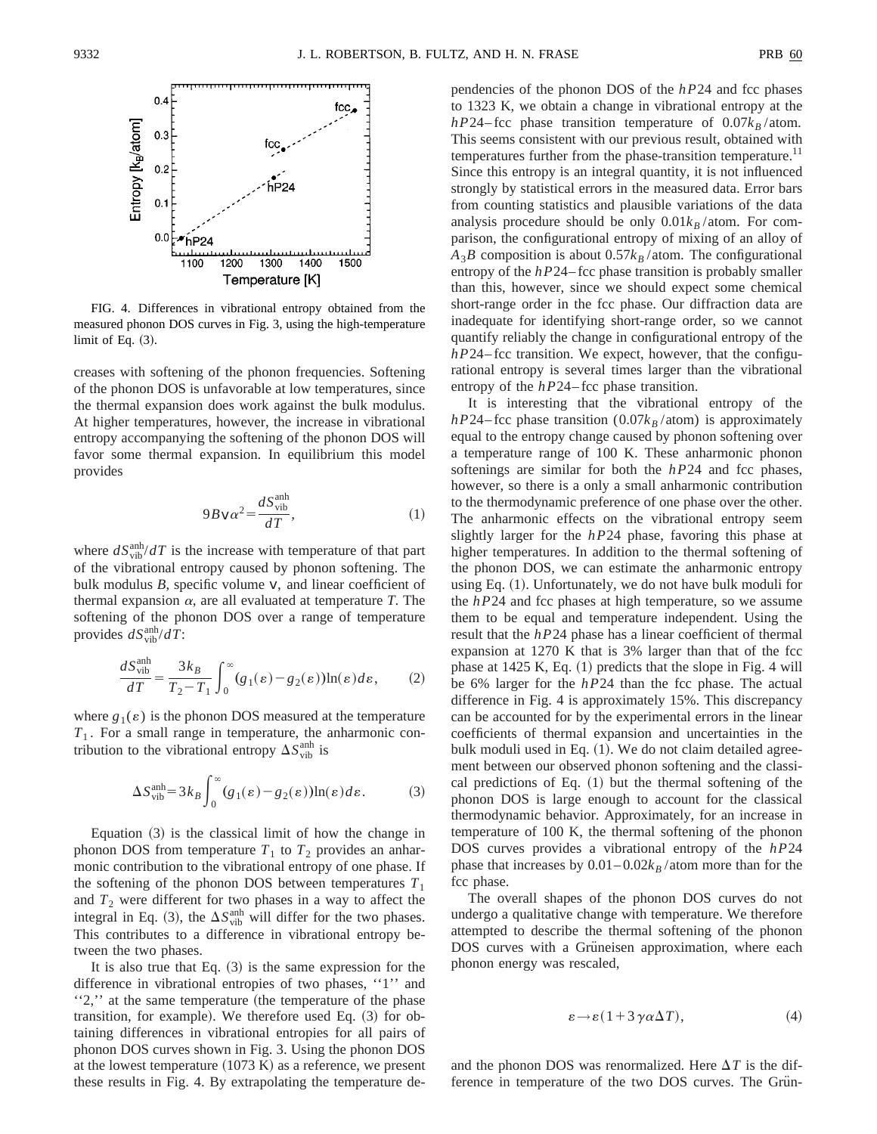

FIG. 4. Differences in vibrational entropy obtained from the measured phonon DOS curves in Fig. 3, using the high-temperature limit of Eq.  $(3)$ .

creases with softening of the phonon frequencies. Softening of the phonon DOS is unfavorable at low temperatures, since the thermal expansion does work against the bulk modulus. At higher temperatures, however, the increase in vibrational entropy accompanying the softening of the phonon DOS will favor some thermal expansion. In equilibrium this model provides

$$
9B\,v\alpha^2 = \frac{dS_{\text{vib}}^{\text{anh}}}{dT},\tag{1}
$$

where  $dS_{\text{vib}}^{\text{anh}}/dT$  is the increase with temperature of that part of the vibrational entropy caused by phonon softening. The bulk modulus *B*, specific volume *v*, and linear coefficient of thermal expansion  $\alpha$ , are all evaluated at temperature *T*. The softening of the phonon DOS over a range of temperature provides  $dS_{\text{vib}}^{\text{anh}}/dT$ :

$$
\frac{dS_{\text{vib}}^{\text{anh}}}{dT} = \frac{3k_B}{T_2 - T_1} \int_0^\infty (g_1(\varepsilon) - g_2(\varepsilon)) \ln(\varepsilon) d\varepsilon, \tag{2}
$$

where  $g_1(\varepsilon)$  is the phonon DOS measured at the temperature *T*<sup>1</sup> . For a small range in temperature, the anharmonic contribution to the vibrational entropy  $\Delta S_{\text{vib}}^{\text{anh}}$  is

$$
\Delta S_{\rm vib}^{\rm anh} = 3k_B \int_0^\infty (g_1(\varepsilon) - g_2(\varepsilon)) \ln(\varepsilon) d\varepsilon.
$$
 (3)

Equation  $(3)$  is the classical limit of how the change in phonon DOS from temperature  $T_1$  to  $T_2$  provides an anharmonic contribution to the vibrational entropy of one phase. If the softening of the phonon DOS between temperatures  $T_1$ and  $T_2$  were different for two phases in a way to affect the integral in Eq. (3), the  $\Delta S_{\text{vib}}^{\text{anh}}$  will differ for the two phases. This contributes to a difference in vibrational entropy between the two phases.

It is also true that Eq.  $(3)$  is the same expression for the difference in vibrational entropies of two phases, ''1'' and "2," at the same temperature (the temperature of the phase transition, for example). We therefore used Eq.  $(3)$  for obtaining differences in vibrational entropies for all pairs of phonon DOS curves shown in Fig. 3. Using the phonon DOS at the lowest temperature  $(1073 \text{ K})$  as a reference, we present these results in Fig. 4. By extrapolating the temperature dependencies of the phonon DOS of the *hP*24 and fcc phases to 1323 K, we obtain a change in vibrational entropy at the *hP*24–fcc phase transition temperature of  $0.07k_B$ /atom. This seems consistent with our previous result, obtained with temperatures further from the phase-transition temperature.<sup>11</sup> Since this entropy is an integral quantity, it is not influenced strongly by statistical errors in the measured data. Error bars from counting statistics and plausible variations of the data analysis procedure should be only  $0.01k_B$  /atom. For comparison, the configurational entropy of mixing of an alloy of  $A_3B$  composition is about  $0.57k_B$  /atom. The configurational entropy of the *hP*24–fcc phase transition is probably smaller than this, however, since we should expect some chemical short-range order in the fcc phase. Our diffraction data are inadequate for identifying short-range order, so we cannot quantify reliably the change in configurational entropy of the *hP*24–fcc transition. We expect, however, that the configurational entropy is several times larger than the vibrational entropy of the *hP*24–fcc phase transition.

It is interesting that the vibrational entropy of the  $hP24$ – fcc phase transition (0.07 $k_B$ /atom) is approximately equal to the entropy change caused by phonon softening over a temperature range of 100 K. These anharmonic phonon softenings are similar for both the *hP*24 and fcc phases, however, so there is a only a small anharmonic contribution to the thermodynamic preference of one phase over the other. The anharmonic effects on the vibrational entropy seem slightly larger for the *hP*24 phase, favoring this phase at higher temperatures. In addition to the thermal softening of the phonon DOS, we can estimate the anharmonic entropy using Eq.  $(1)$ . Unfortunately, we do not have bulk moduli for the *hP*24 and fcc phases at high temperature, so we assume them to be equal and temperature independent. Using the result that the *hP*24 phase has a linear coefficient of thermal expansion at 1270 K that is 3% larger than that of the fcc phase at  $1425$  K, Eq.  $(1)$  predicts that the slope in Fig. 4 will be 6% larger for the *hP*24 than the fcc phase. The actual difference in Fig. 4 is approximately 15%. This discrepancy can be accounted for by the experimental errors in the linear coefficients of thermal expansion and uncertainties in the bulk moduli used in Eq.  $(1)$ . We do not claim detailed agreement between our observed phonon softening and the classical predictions of Eq.  $(1)$  but the thermal softening of the phonon DOS is large enough to account for the classical thermodynamic behavior. Approximately, for an increase in temperature of 100 K, the thermal softening of the phonon DOS curves provides a vibrational entropy of the *hP*24 phase that increases by  $0.01-0.02k_B/\text{atom}$  more than for the fcc phase.

The overall shapes of the phonon DOS curves do not undergo a qualitative change with temperature. We therefore attempted to describe the thermal softening of the phonon DOS curves with a Gruneisen approximation, where each phonon energy was rescaled,

$$
\varepsilon \to \varepsilon (1 + 3 \gamma \alpha \Delta T), \tag{4}
$$

and the phonon DOS was renormalized. Here  $\Delta T$  is the difference in temperature of the two DOS curves. The Grün-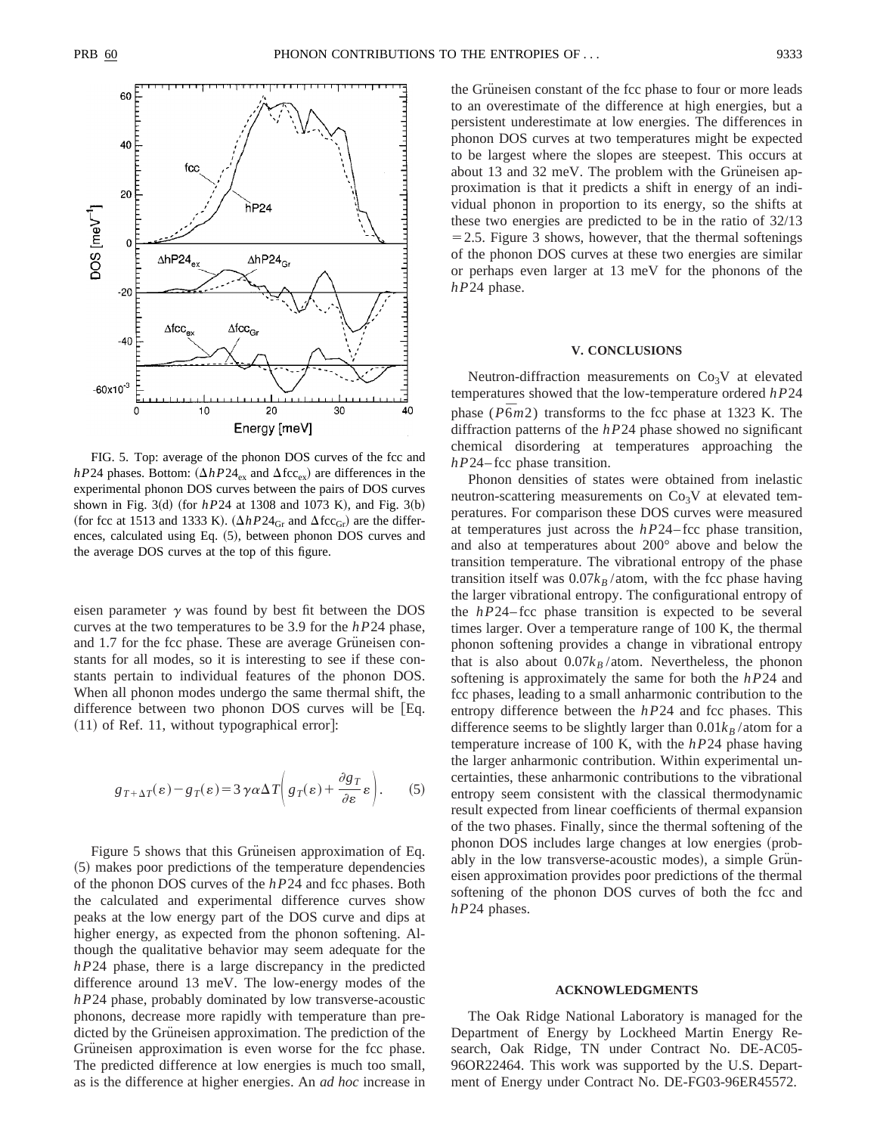

FIG. 5. Top: average of the phonon DOS curves of the fcc and *hP*24 phases. Bottom:  $(\Delta hP24_{\text{ex}}$  and  $\Delta fcc_{\text{ex}})$  are differences in the experimental phonon DOS curves between the pairs of DOS curves shown in Fig. 3(d) (for  $hP24$  at 1308 and 1073 K), and Fig. 3(b) (for fcc at 1513 and 1333 K).  $(\Delta hP24_{\text{Gr}}$  and  $\Delta fcc_{\text{Gr}})$  are the differences, calculated using Eq. (5), between phonon DOS curves and the average DOS curves at the top of this figure.

eisen parameter  $\gamma$  was found by best fit between the DOS curves at the two temperatures to be 3.9 for the *hP*24 phase, and 1.7 for the fcc phase. These are average Grüneisen constants for all modes, so it is interesting to see if these constants pertain to individual features of the phonon DOS. When all phonon modes undergo the same thermal shift, the difference between two phonon DOS curves will be  $Eq.$  $(11)$  of Ref. 11, without typographical error]:

$$
g_{T+\Delta T}(\varepsilon) - g_T(\varepsilon) = 3 \gamma \alpha \Delta T \left( g_T(\varepsilon) + \frac{\partial g_T}{\partial \varepsilon} \varepsilon \right). \tag{5}
$$

Figure 5 shows that this Grüneisen approximation of Eq. ~5! makes poor predictions of the temperature dependencies of the phonon DOS curves of the *hP*24 and fcc phases. Both the calculated and experimental difference curves show peaks at the low energy part of the DOS curve and dips at higher energy, as expected from the phonon softening. Although the qualitative behavior may seem adequate for the *hP*24 phase, there is a large discrepancy in the predicted difference around 13 meV. The low-energy modes of the *hP*24 phase, probably dominated by low transverse-acoustic phonons, decrease more rapidly with temperature than predicted by the Grüneisen approximation. The prediction of the Grüneisen approximation is even worse for the fcc phase. The predicted difference at low energies is much too small, as is the difference at higher energies. An *ad hoc* increase in the Grüneisen constant of the fcc phase to four or more leads to an overestimate of the difference at high energies, but a persistent underestimate at low energies. The differences in phonon DOS curves at two temperatures might be expected to be largest where the slopes are steepest. This occurs at about 13 and 32 meV. The problem with the Grüneisen approximation is that it predicts a shift in energy of an individual phonon in proportion to its energy, so the shifts at these two energies are predicted to be in the ratio of 32/13  $=$  2.5. Figure 3 shows, however, that the thermal softenings of the phonon DOS curves at these two energies are similar or perhaps even larger at 13 meV for the phonons of the *hP*24 phase.

#### **V. CONCLUSIONS**

Neutron-diffraction measurements on  $Co<sub>3</sub>V$  at elevated temperatures showed that the low-temperature ordered *hP*24 phase  $(P\bar{6}m2)$  transforms to the fcc phase at 1323 K. The diffraction patterns of the *hP*24 phase showed no significant chemical disordering at temperatures approaching the *hP*24– fcc phase transition.

Phonon densities of states were obtained from inelastic neutron-scattering measurements on  $Co<sub>3</sub>V$  at elevated temperatures. For comparison these DOS curves were measured at temperatures just across the *hP*24– fcc phase transition, and also at temperatures about 200° above and below the transition temperature. The vibrational entropy of the phase transition itself was  $0.07k_B$ /atom, with the fcc phase having the larger vibrational entropy. The configurational entropy of the *hP*24– fcc phase transition is expected to be several times larger. Over a temperature range of 100 K, the thermal phonon softening provides a change in vibrational entropy that is also about  $0.07k_B/\text{atom}$ . Nevertheless, the phonon softening is approximately the same for both the *hP*24 and fcc phases, leading to a small anharmonic contribution to the entropy difference between the *hP*24 and fcc phases. This difference seems to be slightly larger than  $0.01k_B$  /atom for a temperature increase of 100 K, with the *hP*24 phase having the larger anharmonic contribution. Within experimental uncertainties, these anharmonic contributions to the vibrational entropy seem consistent with the classical thermodynamic result expected from linear coefficients of thermal expansion of the two phases. Finally, since the thermal softening of the phonon DOS includes large changes at low energies (probably in the low transverse-acoustic modes), a simple Gruneisen approximation provides poor predictions of the thermal softening of the phonon DOS curves of both the fcc and *hP*24 phases.

#### **ACKNOWLEDGMENTS**

The Oak Ridge National Laboratory is managed for the Department of Energy by Lockheed Martin Energy Research, Oak Ridge, TN under Contract No. DE-AC05- 96OR22464. This work was supported by the U.S. Department of Energy under Contract No. DE-FG03-96ER45572.